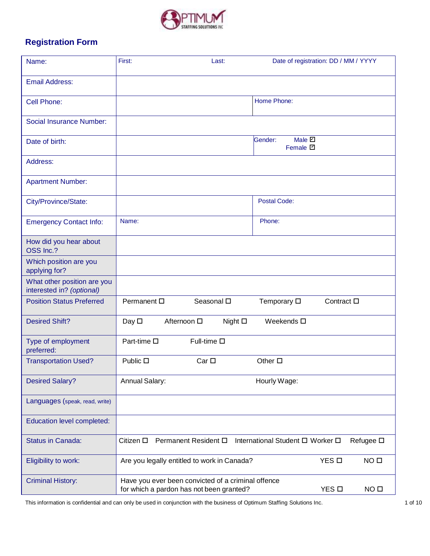

## **Registration Form**

| Name:                                                    | First:<br>Last:                                                                                | Date of registration: DD / MM / YYYY |
|----------------------------------------------------------|------------------------------------------------------------------------------------------------|--------------------------------------|
| <b>Email Address:</b>                                    |                                                                                                |                                      |
| Cell Phone:                                              | Home Phone:                                                                                    |                                      |
| Social Insurance Number:                                 |                                                                                                |                                      |
| Date of birth:                                           | Male 2<br>Gender:<br>Female <b>D</b>                                                           |                                      |
| Address:                                                 |                                                                                                |                                      |
| <b>Apartment Number:</b>                                 |                                                                                                |                                      |
| City/Province/State:                                     | <b>Postal Code:</b>                                                                            |                                      |
| <b>Emergency Contact Info:</b>                           | Name:<br>Phone:                                                                                |                                      |
| How did you hear about<br>OSS Inc.?                      |                                                                                                |                                      |
| Which position are you<br>applying for?                  |                                                                                                |                                      |
| What other position are you<br>interested in? (optional) |                                                                                                |                                      |
| <b>Position Status Preferred</b>                         | Seasonal $\square$<br>Permanent $\square$<br>Temporary $\square$                               | Contract $\square$                   |
| <b>Desired Shift?</b>                                    | Day $\square$<br>Afternoon □<br>Night $\square$<br>Weekends $\square$                          |                                      |
| Type of employment<br>preferred:                         | Full-time $\square$<br>Part-time □                                                             |                                      |
| <b>Transportation Used?</b>                              | Public $\square$<br>Other $\square$<br>Car <sub>□</sub>                                        |                                      |
| <b>Desired Salary?</b>                                   | Annual Salary:<br>Hourly Wage:                                                                 |                                      |
| Languages (speak, read, write)                           |                                                                                                |                                      |
| Education level completed:                               |                                                                                                |                                      |
| <b>Status in Canada:</b>                                 | Permanent Resident □<br>Citizen □<br>International Student D Worker D                          | Refugee □                            |
| Eligibility to work:                                     | Are you legally entitled to work in Canada?                                                    | YES <sub>D</sub><br>NO <sub>□</sub>  |
| <b>Criminal History:</b>                                 | Have you ever been convicted of a criminal offence<br>for which a pardon has not been granted? | YES O<br>NO <sub>0</sub>             |

This information is confidential and can only be used in conjunction with the business of Optimum Staffing Solutions Inc. 4 06 10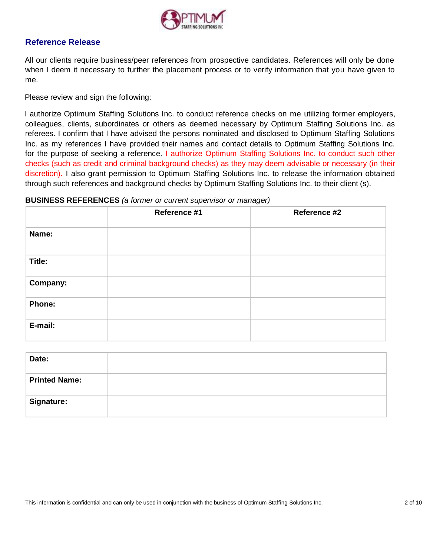

### **Reference Release**

All our clients require business/peer references from prospective candidates. References will only be done when I deem it necessary to further the placement process or to verify information that you have given to me.

Please review and sign the following:

I authorize Optimum Staffing Solutions Inc. to conduct reference checks on me utilizing former employers, colleagues, clients, subordinates or others as deemed necessary by Optimum Staffing Solutions Inc. as referees. I confirm that I have advised the persons nominated and disclosed to Optimum Staffing Solutions Inc. as my references I have provided their names and contact details to Optimum Staffing Solutions Inc. for the purpose of seeking a reference. I authorize Optimum Staffing Solutions Inc. to conduct such other checks (such as credit and criminal background checks) as they may deem advisable or necessary (in their discretion). I also grant permission to Optimum Staffing Solutions Inc. to release the information obtained through such references and background checks by Optimum Staffing Solutions Inc. to their client (s).

#### **BUSINESS REFERENCES** *(a former or current supervisor or manager)*

|               | Reference #1 | Reference #2 |
|---------------|--------------|--------------|
| Name:         |              |              |
| Title:        |              |              |
| Company:      |              |              |
| <b>Phone:</b> |              |              |
| E-mail:       |              |              |

| Date:                |  |
|----------------------|--|
| <b>Printed Name:</b> |  |
| <b>Signature:</b>    |  |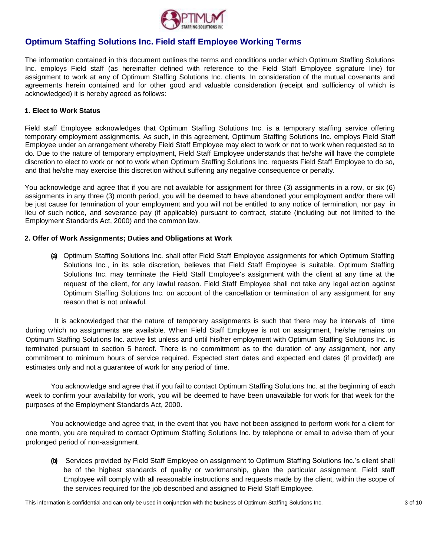

### **Optimum Staffing Solutions Inc. Field staff Employee Working Terms**

The information contained in this document outlines the terms and conditions under which Optimum Staffing Solutions Inc. employs Field staff (as hereinafter defined with reference to the Field Staff Employee signature line) for assignment to work at any of Optimum Staffing Solutions Inc. clients. In consideration of the mutual covenants and agreements herein contained and for other good and valuable consideration (receipt and sufficiency of which is acknowledged) it is hereby agreed as follows:

#### **1. Elect to Work Status**

Field staff Employee acknowledges that Optimum Staffing Solutions Inc. is a temporary staffing service offering temporary employment assignments. As such, in this agreement, Optimum Staffing Solutions Inc. employs Field Staff Employee under an arrangement whereby Field Staff Employee may elect to work or not to work when requested so to do*.* Due to the nature of temporary employment, Field Staff Employee understands that he/she will have the complete discretion to elect to work or not to work when Optimum Staffing Solutions Inc. requests Field Staff Employee to do so, and that he/she may exercise this discretion without suffering any negative consequence or penalty.

You acknowledge and agree that if you are not available for assignment for three (3) assignments in a row, or six (6) assignments in any three (3) month period, you will be deemed to have abandoned your employment and/or there will be just cause for termination of your employment and you will not be entitled to any notice of termination, nor pay in lieu of such notice, and severance pay (if applicable) pursuant to contract, statute (including but not limited to the Employment Standards Act, 2000) and the common law.

#### **2. Offer of Work Assignments; Duties and Obligations at Work**

**(a)** Optimum Staffing Solutions Inc. shall offer Field Staff Employee assignments for which Optimum Staffing Solutions Inc., in its sole discretion, believes that Field Staff Employee is suitable. Optimum Staffing Solutions Inc. may terminate the Field Staff Employee's assignment with the client at any time at the request of the client, for any lawful reason. Field Staff Employee shall not take any legal action against Optimum Staffing Solutions Inc. on account of the cancellation or termination of any assignment for any reason that is not unlawful.

It is acknowledged that the nature of temporary assignments is such that there may be intervals of time during which no assignments are available. When Field Staff Employee is not on assignment, he/she remains on Optimum Staffing Solutions Inc. active list unless and until his/her employment with Optimum Staffing Solutions Inc. is terminated pursuant to section 5 hereof. There is no commitment as to the duration of any assignment, nor any commitment to minimum hours of service required. Expected start dates and expected end dates (if provided) are estimates only and not a guarantee of work for any period of time.

You acknowledge and agree that if you fail to contact Optimum Staffing Solutions Inc. at the beginning of each week to confirm your availability for work, you will be deemed to have been unavailable for work for that week for the purposes of the Employment Standards Act, 2000.

You acknowledge and agree that, in the event that you have not been assigned to perform work for a client for one month, you are required to contact Optimum Staffing Solutions Inc. by telephone or email to advise them of your prolonged period of non-assignment.

**(b)** Services provided by Field Staff Employee on assignment to Optimum Staffing Solutions Inc.'s client shall be of the highest standards of quality or workmanship, given the particular assignment. Field staff Employee will comply with all reasonable instructions and requests made by the client, within the scope of the services required for the job described and assigned to Field Staff Employee.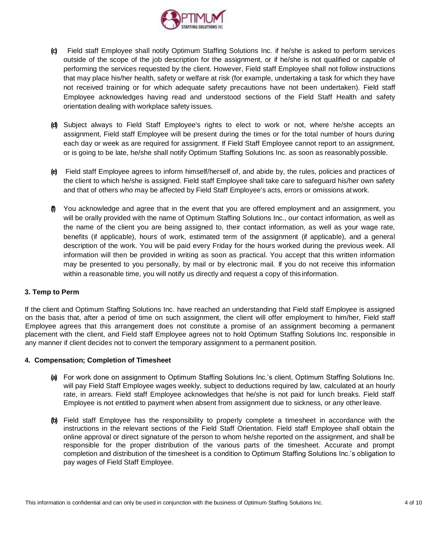

- **(c)** Field staff Employee shall notify Optimum Staffing Solutions Inc. if he/she is asked to perform services outside of the scope of the job description for the assignment, or if he/she is not qualified or capable of performing the services requested by the client. However, Field staff Employee shall not follow instructions that may place his/her health, safety or welfare at risk (for example, undertaking a task for which they have not received training or for which adequate safety precautions have not been undertaken). Field staff Employee acknowledges having read and understood sections of the Field Staff Health and safety orientation dealing with workplace safety issues.
- **(d)** Subject always to Field Staff Employee's rights to elect to work or not, where he/she accepts an assignment, Field staff Employee will be present during the times or for the total number of hours during each day or week as are required for assignment. If Field Staff Employee cannot report to an assignment, or is going to be late, he/she shall notify Optimum Staffing Solutions Inc. as soon as reasonablypossible.
- **(e)** Field staff Employee agrees to inform himself/herself of, and abide by, the rules, policies and practices of the client to which he/she is assigned. Field staff Employee shall take care to safeguard his/her own safety and that of others who may be affected by Field Staff Employee's acts, errors or omissions atwork.
- **(f)** You acknowledge and agree that in the event that you are offered employment and an assignment, you will be orally provided with the name of Optimum Staffing Solutions Inc., our contact information, as well as the name of the client you are being assigned to, their contact information, as well as your wage rate, benefits (if applicable), hours of work, estimated term of the assignment (if applicable), and a general description of the work. You will be paid every Friday for the hours worked during the previous week. All information will then be provided in writing as soon as practical. You accept that this written information may be presented to you personally, by mail or by electronic mail. If you do not receive this information within a reasonable time, you will notify us directly and request a copy of this information.

#### **3. Temp to Perm**

If the client and Optimum Staffing Solutions Inc. have reached an understanding that Field staff Employee is assigned on the basis that, after a period of time on such assignment, the client will offer employment to him/her, Field staff Employee agrees that this arrangement does not constitute a promise of an assignment becoming a permanent placement with the client, and Field staff Employee agrees not to hold Optimum Staffing Solutions Inc. responsible in any manner if client decides not to convert the temporary assignment to a permanent position.

#### **4. Compensation; Completion of Timesheet**

- **(a)** For work done on assignment to Optimum Staffing Solutions Inc.'s client, Optimum Staffing Solutions Inc. will pay Field Staff Employee wages weekly, subject to deductions required by law, calculated at an hourly rate, in arrears. Field staff Employee acknowledges that he/she is not paid for lunch breaks. Field staff Employee is not entitled to payment when absent from assignment due to sickness, or any otherleave.
- **(b)** Field staff Employee has the responsibility to properly complete a timesheet in accordance with the instructions in the relevant sections of the Field Staff Orientation. Field staff Employee shall obtain the online approval or direct signature of the person to whom he/she reported on the assignment, and shall be responsible for the proper distribution of the various parts of the timesheet. Accurate and prompt completion and distribution of the timesheet is a condition to Optimum Staffing Solutions Inc.'s obligation to pay wages of Field Staff Employee.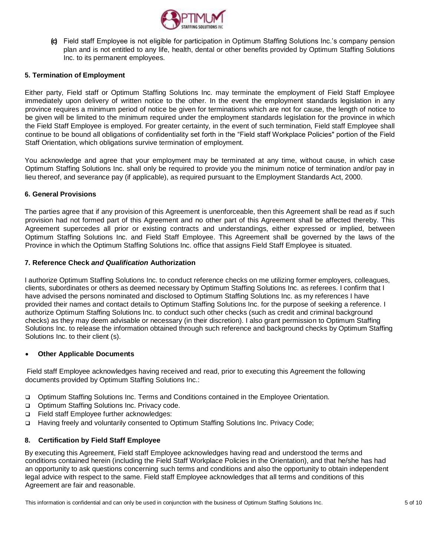

**(c)** Field staff Employee is not eligible for participation in Optimum Staffing Solutions Inc.'s company pension plan and is not entitled to any life, health, dental or other benefits provided by Optimum Staffing Solutions Inc. to its permanent employees.

#### **5. Termination of Employment**

Either party, Field staff or Optimum Staffing Solutions Inc. may terminate the employment of Field Staff Employee immediately upon delivery of written notice to the other. In the event the employment standards legislation in any province requires a minimum period of notice be given for terminations which are not for cause, the length of notice to be given will be limited to the minimum required under the employment standards legislation for the province in which the Field Staff Employee is employed. For greater certainty, in the event of such termination, Field staff Employee shall continue to be bound all obligations of confidentiality set forth in the "Field staff Workplace Policies" portion of the Field Staff Orientation, which obligations survive termination of employment.

You acknowledge and agree that your employment may be terminated at any time, without cause, in which case Optimum Staffing Solutions Inc. shall only be required to provide you the minimum notice of termination and/or pay in lieu thereof, and severance pay (if applicable), as required pursuant to the Employment Standards Act, 2000.

#### **6. General Provisions**

The parties agree that if any provision of this Agreement is unenforceable, then this Agreement shall be read as if such provision had not formed part of this Agreement and no other part of this Agreement shall be affected thereby. This Agreement supercedes all prior or existing contracts and understandings, either expressed or implied, between Optimum Staffing Solutions Inc. and Field Staff Employee. This Agreement shall be governed by the laws of the Province in which the Optimum Staffing Solutions Inc. office that assigns Field Staff Employee is situated.

#### **7. Reference Check** *and Qualification* **Authorization**

I authorize Optimum Staffing Solutions Inc. to conduct reference checks on me utilizing former employers, colleagues, clients, subordinates or others as deemed necessary by Optimum Staffing Solutions Inc. as referees. I confirm that I have advised the persons nominated and disclosed to Optimum Staffing Solutions Inc. as my references I have provided their names and contact details to Optimum Staffing Solutions Inc. for the purpose of seeking a reference. I authorize Optimum Staffing Solutions Inc. to conduct such other checks (such as credit and criminal background checks) as they may deem advisable or necessary (in their discretion). I also grant permission to Optimum Staffing Solutions Inc. to release the information obtained through such reference and background checks by Optimum Staffing Solutions Inc. to their client (s).

#### • **Other Applicable Documents**

Field staff Employee acknowledges having received and read, prior to executing this Agreement the following documents provided by Optimum Staffing Solutions Inc.:

- ❑ Optimum Staffing Solutions Inc. Terms and Conditions contained in the Employee Orientation.
- ❑ Optimum Staffing Solutions Inc. Privacy code.
- ❑ Field staff Employee further acknowledges:
- ❑ Having freely and voluntarily consented to Optimum Staffing Solutions Inc. Privacy Code;

#### **8. Certification by Field Staff Employee**

By executing this Agreement, Field staff Employee acknowledges having read and understood the terms and conditions contained herein (including the Field Staff Workplace Policies in the Orientation), and that he/she has had an opportunity to ask questions concerning such terms and conditions and also the opportunity to obtain independent legal advice with respect to the same. Field staff Employee acknowledges that all terms and conditions of this Agreement are fair and reasonable.

This information is confidential and can only be used in conjunction with the business of Optimum Staffing Solutions Inc. 5 of 10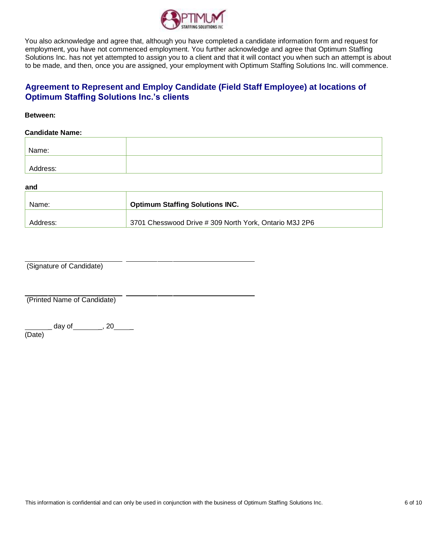

You also acknowledge and agree that, although you have completed a candidate information form and request for employment, you have not commenced employment. You further acknowledge and agree that Optimum Staffing Solutions Inc. has not yet attempted to assign you to a client and that it will contact you when such an attempt is about to be made, and then, once you are assigned, your employment with Optimum Staffing Solutions Inc. will commence.

### **Agreement to Represent and Employ Candidate (Field Staff Employee) at locations of Optimum Staffing Solutions Inc.'s clients**

#### **Between:**

#### **Candidate Name:**

| Name:    |  |
|----------|--|
|          |  |
| Address: |  |

**and**

| Name:    | <b>Optimum Staffing Solutions INC.</b>                 |  |
|----------|--------------------------------------------------------|--|
| Address: | 3701 Chesswood Drive # 309 North York, Ontario M3J 2P6 |  |

(Signature of Candidate)

(Printed Name of Candidate)

\_ day of \_\_\_\_\_\_\_\_, 20\_\_\_\_\_ (Date)

This information is confidential and can only be used in conjunction with the business of Optimum Staffing Solutions Inc. 6 of 10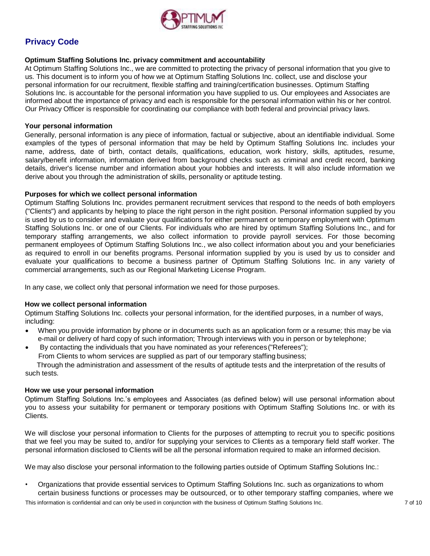

### **Privacy Code**

#### **Optimum Staffing Solutions Inc. privacy commitment and accountability**

At Optimum Staffing Solutions Inc., we are committed to protecting the privacy of personal information that you give to us. This document is to inform you of how we at Optimum Staffing Solutions Inc. collect, use and disclose your personal information for our recruitment, flexible staffing and training/certification businesses. Optimum Staffing Solutions Inc. is accountable for the personal information you have supplied to us. Our employees and Associates are informed about the importance of privacy and each is responsible for the personal information within his or her control. Our Privacy Officer is responsible for coordinating our compliance with both federal and provincial privacy laws.

#### **Your personal information**

Generally, personal information is any piece of information, factual or subjective, about an identifiable individual. Some examples of the types of personal information that may be held by Optimum Staffing Solutions Inc. includes your name, address, date of birth, contact details, qualifications, education, work history, skills, aptitudes, resume, salary/benefit information, information derived from background checks such as criminal and credit record, banking details, driver's license number and information about your hobbies and interests. It will also include information we derive about you through the administration of skills, personality or aptitude testing.

#### **Purposes for which we collect personal information**

Optimum Staffing Solutions Inc. provides permanent recruitment services that respond to the needs of both employers ("Clients") and applicants by helping to place the right person in the right position. Personal information supplied by you is used by us to consider and evaluate your qualifications for either permanent or temporary employment with Optimum Staffing Solutions Inc. or one of our Clients. For individuals who are hired by optimum Staffing Solutions Inc., and for temporary staffing arrangements, we also collect information to provide payroll services. For those becoming permanent employees of Optimum Staffing Solutions Inc., we also collect information about you and your beneficiaries as required to enroll in our benefits programs. Personal information supplied by you is used by us to consider and evaluate your qualifications to become a business partner of Optimum Staffing Solutions Inc. in any variety of commercial arrangements, such as our Regional Marketing License Program.

In any case, we collect only that personal information we need for those purposes.

#### **How we collect personal information**

Optimum Staffing Solutions Inc. collects your personal information, for the identified purposes, in a number of ways, including:

- When you provide information by phone or in documents such as an application form or a resume; this may be via e-mail or delivery of hard copy of such information; Through interviews with you in person or by telephone;
- By contacting the individuals that you have nominated as your references ("Referees"); From Clients to whom services are supplied as part of our temporary staffing business;

Through the administration and assessment of the results of aptitude tests and the interpretation of the results of such tests.

#### **How we use your personal information**

Optimum Staffing Solutions Inc.'s employees and Associates (as defined below) will use personal information about you to assess your suitability for permanent or temporary positions with Optimum Staffing Solutions Inc. or with its Clients.

We will disclose your personal information to Clients for the purposes of attempting to recruit you to specific positions that we feel you may be suited to, and/or for supplying your services to Clients as a temporary field staff worker. The personal information disclosed to Clients will be all the personal information required to make an informed decision.

We may also disclose your personal information to the following parties outside of Optimum Staffing Solutions Inc.:

• Organizations that provide essential services to Optimum Staffing Solutions Inc. such as organizations to whom certain business functions or processes may be outsourced, or to other temporary staffing companies, where we

This information is confidential and can only be used in conjunction with the business of Optimum Staffing Solutions Inc. 7 of 10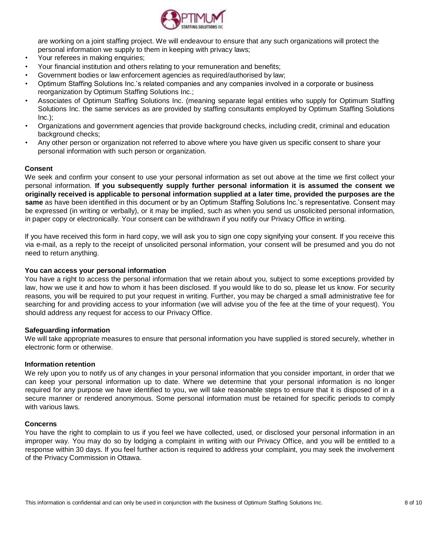

are working on a joint staffing project. We will endeavour to ensure that any such organizations will protect the personal information we supply to them in keeping with privacy laws;

- Your referees in making enquiries;
- Your financial institution and others relating to your remuneration and benefits;
- Government bodies or law enforcement agencies as required/authorised by law;
- Optimum Staffing Solutions Inc.'s related companies and any companies involved in a corporate or business reorganization by Optimum Staffing Solutions Inc.;
- Associates of Optimum Staffing Solutions Inc. (meaning separate legal entities who supply for Optimum Staffing Solutions Inc. the same services as are provided by staffing consultants employed by Optimum Staffing Solutions  $Inc.$ ):
- Organizations and government agencies that provide background checks, including credit, criminal and education background checks;
- Any other person or organization not referred to above where you have given us specific consent to share your personal information with such person or organization.

#### **Consent**

We seek and confirm your consent to use your personal information as set out above at the time we first collect your personal information. **If you subsequently supply further personal information it is assumed the consent we originally received is applicable to personal information supplied at a later time, provided the purposes are the same** as have been identified in this document or by an Optimum Staffing Solutions Inc.'s representative. Consent may be expressed (in writing or verbally), or it may be implied, such as when you send us unsolicited personal information, in paper copy or electronically. Your consent can be withdrawn if you notify our Privacy Office in writing.

If you have received this form in hard copy, we will ask you to sign one copy signifying your consent. If you receive this via e-mail, as a reply to the receipt of unsolicited personal information, your consent will be presumed and you do not need to return anything.

#### **You can access your personal information**

You have a right to access the personal information that we retain about you, subject to some exceptions provided by law, how we use it and how to whom it has been disclosed. If you would like to do so, please let us know. For security reasons, you will be required to put your request in writing. Further, you may be charged a small administrative fee for searching for and providing access to your information (we will advise you of the fee at the time of your request). You should address any request for access to our Privacy Office.

#### **Safeguarding information**

We will take appropriate measures to ensure that personal information you have supplied is stored securely, whether in electronic form or otherwise.

#### **Information retention**

We rely upon you to notify us of any changes in your personal information that you consider important, in order that we can keep your personal information up to date. Where we determine that your personal information is no longer required for any purpose we have identified to you, we will take reasonable steps to ensure that it is disposed of in a secure manner or rendered anonymous. Some personal information must be retained for specific periods to comply with various laws.

#### **Concerns**

You have the right to complain to us if you feel we have collected, used, or disclosed your personal information in an improper way. You may do so by lodging a complaint in writing with our Privacy Office, and you will be entitled to a response within 30 days. If you feel further action is required to address your complaint, you may seek the involvement of the Privacy Commission in Ottawa.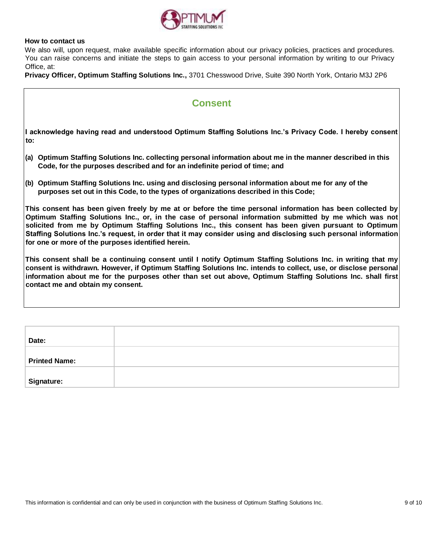

#### **How to contact us**

We also will, upon request, make available specific information about our privacy policies, practices and procedures. You can raise concerns and initiate the steps to gain access to your personal information by writing to our Privacy Office, at:

**Privacy Officer, Optimum Staffing Solutions Inc.,** 3701 Chesswood Drive, Suite 390 North York, Ontario M3J 2P6

## **Consent**

**I acknowledge having read and understood Optimum Staffing Solutions Inc.'s Privacy Code. I hereby consent to:**

- **(a) Optimum Staffing Solutions Inc. collecting personal information about me in the manner described in this Code, for the purposes described and for an indefinite period of time; and**
- **(b) Optimum Staffing Solutions Inc. using and disclosing personal information about me for any of the purposes set out in this Code, to the types of organizations described in this Code;**

**This consent has been given freely by me at or before the time personal information has been collected by Optimum Staffing Solutions Inc., or, in the case of personal information submitted by me which was not solicited from me by Optimum Staffing Solutions Inc., this consent has been given pursuant to Optimum Staffing Solutions Inc.'s request, in order that it may consider using and disclosing such personal information for one or more of the purposes identified herein.**

**This consent shall be a continuing consent until I notify Optimum Staffing Solutions Inc. in writing that my consent is withdrawn. However, if Optimum Staffing Solutions Inc. intends to collect, use, or disclose personal information about me for the purposes other than set out above, Optimum Staffing Solutions Inc. shall first contact me and obtain my consent.**

| Date:                |  |
|----------------------|--|
|                      |  |
| <b>Printed Name:</b> |  |
|                      |  |
| Signature:           |  |